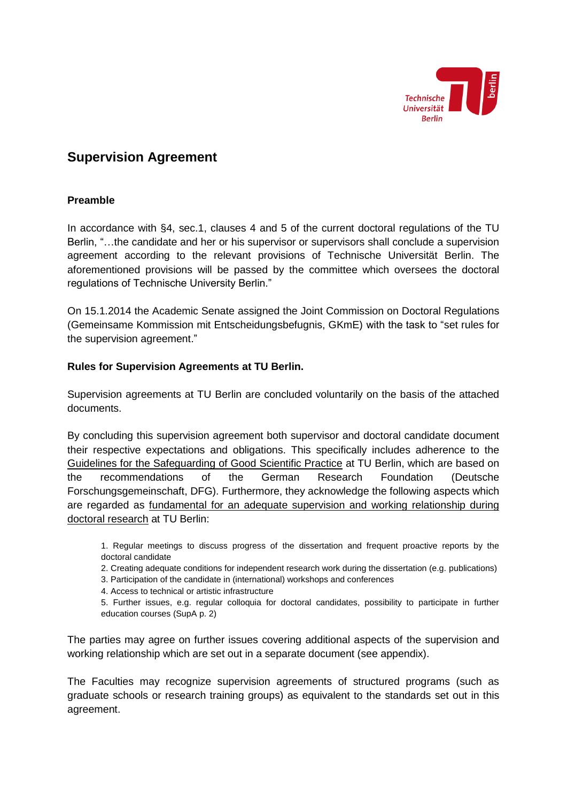

## **Supervision Agreement**

## **Preamble**

In accordance with §4, sec.1, clauses 4 and 5 of the current doctoral regulations of the TU Berlin, "…the candidate and her or his supervisor or supervisors shall conclude a supervision agreement according to the relevant provisions of Technische Universität Berlin. The aforementioned provisions will be passed by the committee which oversees the doctoral regulations of Technische University Berlin."

On 15.1.2014 the Academic Senate assigned the Joint Commission on Doctoral Regulations (Gemeinsame Kommission mit Entscheidungsbefugnis, GKmE) with the task to "set rules for the supervision agreement."

## **Rules for Supervision Agreements at TU Berlin.**

Supervision agreements at TU Berlin are concluded voluntarily on the basis of the attached documents.

By concluding this supervision agreement both supervisor and doctoral candidate document their respective expectations and obligations. This specifically includes adherence to the Guidelines for the Safeguarding of Good Scientific Practice at TU Berlin, which are based on the recommendations of the German Research Foundation (Deutsche Forschungsgemeinschaft, DFG). Furthermore, they acknowledge the following aspects which are regarded as fundamental for an adequate supervision and working relationship during doctoral research at TU Berlin:

1. Regular meetings to discuss progress of the dissertation and frequent proactive reports by the doctoral candidate

- 2. Creating adequate conditions for independent research work during the dissertation (e.g. publications)
- 3. Participation of the candidate in (international) workshops and conferences
- 4. Access to technical or artistic infrastructure
- 5. Further issues, e.g. regular colloquia for doctoral candidates, possibility to participate in further education courses (SupA p. 2)

The parties may agree on further issues covering additional aspects of the supervision and working relationship which are set out in a separate document (see appendix).

The Faculties may recognize supervision agreements of structured programs (such as graduate schools or research training groups) as equivalent to the standards set out in this agreement.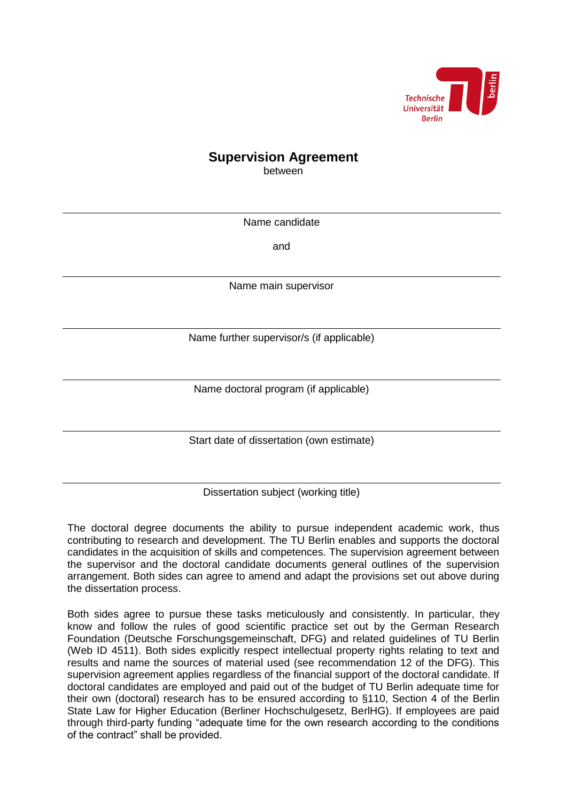

# **Supervision Agreement**

between

Name candidate

and

Name main supervisor

Name further supervisor/s (if applicable)

Name doctoral program (if applicable)

Start date of dissertation (own estimate)

Dissertation subject (working title)

The doctoral degree documents the ability to pursue independent academic work, thus contributing to research and development. The TU Berlin enables and supports the doctoral candidates in the acquisition of skills and competences. The supervision agreement between the supervisor and the doctoral candidate documents general outlines of the supervision arrangement. Both sides can agree to amend and adapt the provisions set out above during the dissertation process.

Both sides agree to pursue these tasks meticulously and consistently. In particular, they know and follow the rules of good scientific practice set out by the German Research Foundation (Deutsche Forschungsgemeinschaft, DFG) and related guidelines of TU Berlin (Web ID 4511). Both sides explicitly respect intellectual property rights relating to text and results and name the sources of material used (see recommendation 12 of the DFG). This supervision agreement applies regardless of the financial support of the doctoral candidate. If doctoral candidates are employed and paid out of the budget of TU Berlin adequate time for their own (doctoral) research has to be ensured according to §110, Section 4 of the Berlin State Law for Higher Education (Berliner Hochschulgesetz, BerlHG). If employees are paid through third-party funding "adequate time for the own research according to the conditions of the contract" shall be provided.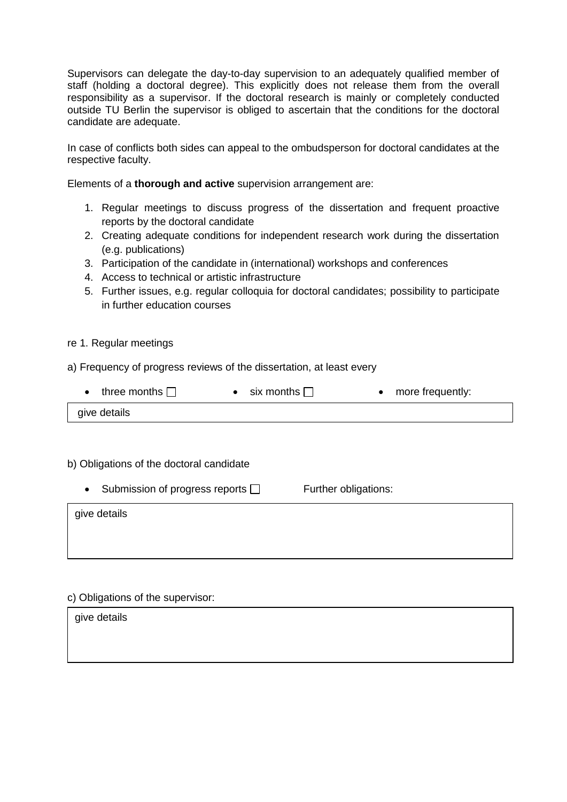Supervisors can delegate the day-to-day supervision to an adequately qualified member of staff (holding a doctoral degree). This explicitly does not release them from the overall responsibility as a supervisor. If the doctoral research is mainly or completely conducted outside TU Berlin the supervisor is obliged to ascertain that the conditions for the doctoral candidate are adequate.

In case of conflicts both sides can appeal to the ombudsperson for doctoral candidates at the respective faculty.

Elements of a **thorough and active** supervision arrangement are:

- 1. Regular meetings to discuss progress of the dissertation and frequent proactive reports by the doctoral candidate
- 2. Creating adequate conditions for independent research work during the dissertation (e.g. publications)
- 3. Participation of the candidate in (international) workshops and conferences
- 4. Access to technical or artistic infrastructure
- 5. Further issues, e.g. regular colloquia for doctoral candidates; possibility to participate in further education courses

#### re 1. Regular meetings

a) Frequency of progress reviews of the dissertation, at least every

|  | three months $\Box$ | • six months $\Box$ |  | more frequently: |
|--|---------------------|---------------------|--|------------------|
|--|---------------------|---------------------|--|------------------|

give details

## b) Obligations of the doctoral candidate

 $\bullet$  Submission of progress reports  $\Box$  Further obligations:

give details

## c) Obligations of the supervisor:

| give details |  |
|--------------|--|
|              |  |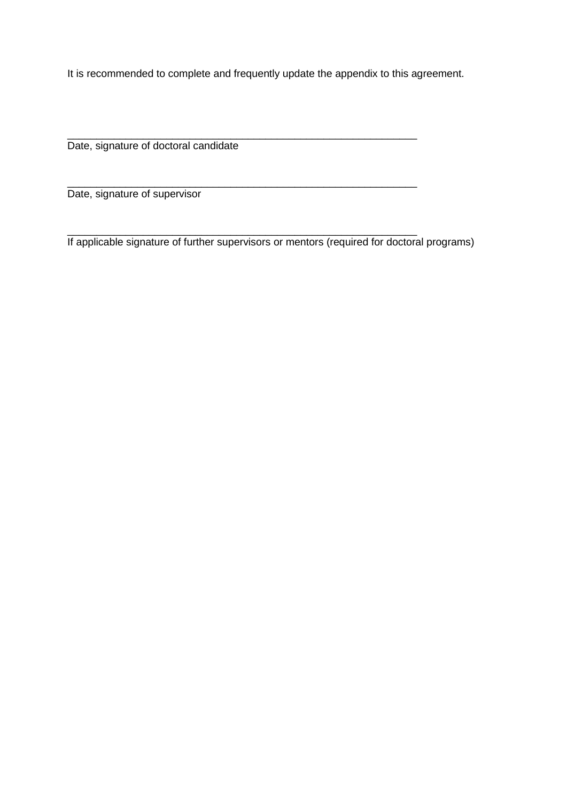It is recommended to complete and frequently update the appendix to this agreement.

\_\_\_\_\_\_\_\_\_\_\_\_\_\_\_\_\_\_\_\_\_\_\_\_\_\_\_\_\_\_\_\_\_\_\_\_\_\_\_\_\_\_\_\_\_\_\_\_\_\_\_\_\_\_\_\_\_\_\_\_ Date, signature of doctoral candidate

Date, signature of supervisor

\_\_\_\_\_\_\_\_\_\_\_\_\_\_\_\_\_\_\_\_\_\_\_\_\_\_\_\_\_\_\_\_\_\_\_\_\_\_\_\_\_\_\_\_\_\_\_\_\_\_\_\_\_\_\_\_\_\_\_\_ If applicable signature of further supervisors or mentors (required for doctoral programs)

\_\_\_\_\_\_\_\_\_\_\_\_\_\_\_\_\_\_\_\_\_\_\_\_\_\_\_\_\_\_\_\_\_\_\_\_\_\_\_\_\_\_\_\_\_\_\_\_\_\_\_\_\_\_\_\_\_\_\_\_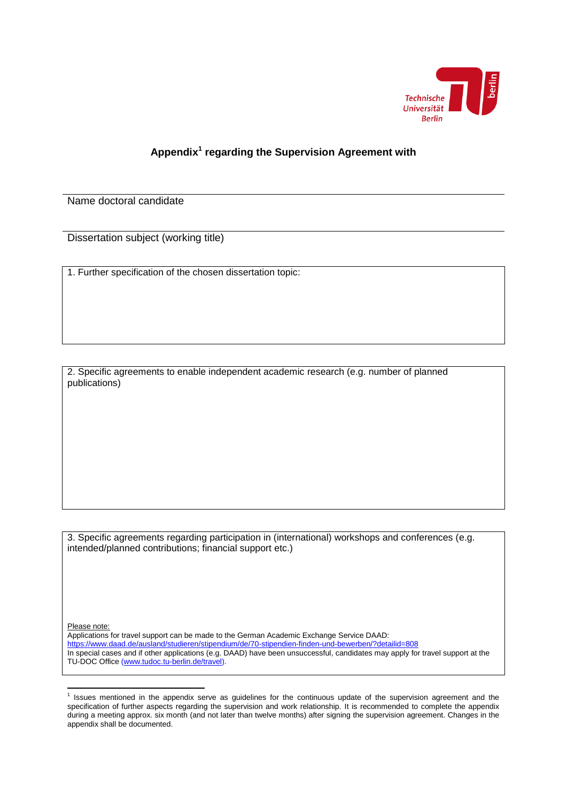

## **Appendix<sup>1</sup> regarding the Supervision Agreement with**

Name doctoral candidate

Dissertation subject (working title)

1. Further specification of the chosen dissertation topic:

2. Specific agreements to enable independent academic research (e.g. number of planned publications)

3. Specific agreements regarding participation in (international) workshops and conferences (e.g. intended/planned contributions; financial support etc.)

Please note:

Applications for travel support can be made to the German Academic Exchange Service DAAD: <https://www.daad.de/ausland/studieren/stipendium/de/70-stipendien-finden-und-bewerben/?detailid=808> In special cases and if other applications (e.g. DAAD) have been unsuccessful, candidates may apply for travel support at the TU-DOC Office [\(www.tudoc.tu-berlin.de/travel\)](http://www.tudoc.tu-berlin.de/travel).

 1 Issues mentioned in the appendix serve as guidelines for the continuous update of the supervision agreement and the specification of further aspects regarding the supervision and work relationship. It is recommended to complete the appendix during a meeting approx. six month (and not later than twelve months) after signing the supervision agreement. Changes in the appendix shall be documented.